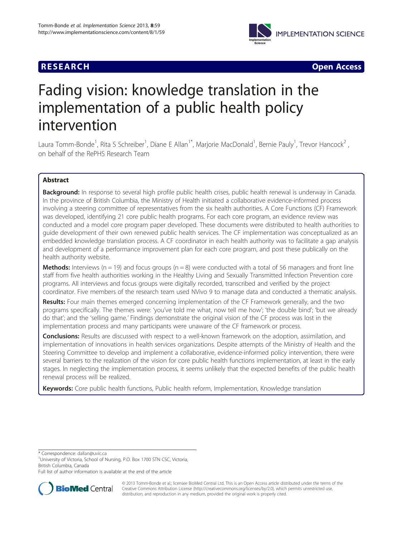

**RESEARCH CHEAR CHEAR CHEAR CHEAR CHEAR CHEAR CHEAR CHEAR CHEAR CHEAR CHEAR CHEAR CHEAR CHEAR CHEAR CHEAR CHEAR** 

# Fading vision: knowledge translation in the implementation of a public health policy intervention

Laura Tomm-Bonde<sup>1</sup>, Rita S Schreiber<sup>1</sup>, Diane E Allan<sup>1\*</sup>, Marjorie MacDonald<sup>1</sup>, Bernie Pauly<sup>1</sup>, Trevor Hancock<sup>2</sup> , on behalf of the RePHS Research Team

# Abstract

Background: In response to several high profile public health crises, public health renewal is underway in Canada. In the province of British Columbia, the Ministry of Health initiated a collaborative evidence-informed process involving a steering committee of representatives from the six health authorities. A Core Functions (CF) Framework was developed, identifying 21 core public health programs. For each core program, an evidence review was conducted and a model core program paper developed. These documents were distributed to health authorities to guide development of their own renewed public health services. The CF implementation was conceptualized as an embedded knowledge translation process. A CF coordinator in each health authority was to facilitate a gap analysis and development of a performance improvement plan for each core program, and post these publically on the health authority website.

**Methods:** Interviews (n = 19) and focus groups (n = 8) were conducted with a total of 56 managers and front line staff from five health authorities working in the Healthy Living and Sexually Transmitted Infection Prevention core programs. All interviews and focus groups were digitally recorded, transcribed and verified by the project coordinator. Five members of the research team used NVivo 9 to manage data and conducted a thematic analysis.

**Results:** Four main themes emerged concerning implementation of the CF Framework generally, and the two programs specifically. The themes were: 'you've told me what, now tell me how'; 'the double bind'; 'but we already do that'; and the 'selling game.' Findings demonstrate the original vision of the CF process was lost in the implementation process and many participants were unaware of the CF framework or process.

**Conclusions:** Results are discussed with respect to a well-known framework on the adoption, assimilation, and implementation of innovations in health services organizations. Despite attempts of the Ministry of Health and the Steering Committee to develop and implement a collaborative, evidence-informed policy intervention, there were several barriers to the realization of the vision for core public health functions implementation, at least in the early stages. In neglecting the implementation process, it seems unlikely that the expected benefits of the public health renewal process will be realized.

Keywords: Core public health functions, Public health reform, Implementation, Knowledge translation

\* Correspondence: [dallan@uvic.ca](mailto:dallan@uvic.ca) <sup>1</sup>

<sup>1</sup>University of Victoria, School of Nursing, P.O. Box 1700 STN CSC, Victoria, British Columbia, Canada

Full list of author information is available at the end of the article



© 2013 Tomm-Bonde et al.; licensee BioMed Central Ltd. This is an Open Access article distributed under the terms of the Creative Commons Attribution License (<http://creativecommons.org/licenses/by/2.0>), which permits unrestricted use, distribution, and reproduction in any medium, provided the original work is properly cited.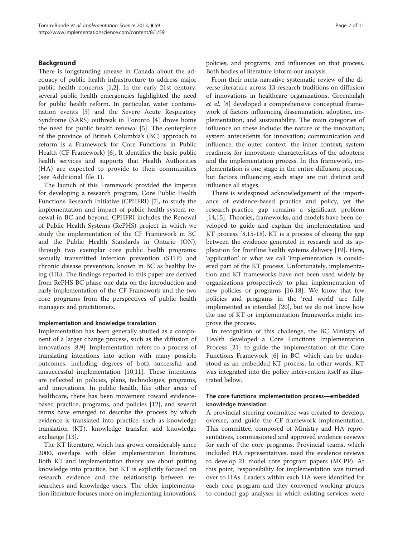#### Background

There is longstanding unease in Canada about the adequacy of public health infrastructure to address major public health concerns [\[1,2](#page-9-0)]. In the early 21st century, several public health emergencies highlighted the need for public health reform. In particular, water contamination events [[3\]](#page-9-0) and the Severe Acute Respiratory Syndrome (SARS) outbreak in Toronto [[4\]](#page-9-0) drove home the need for public health renewal [[5\]](#page-9-0). The centerpiece of the province of British Columbia's (BC) approach to reform is a Framework for Core Functions in Public Health (CF Framework) [[6\]](#page-9-0). It identifies the basic public health services and supports that Health Authorities (HA) are expected to provide to their communities (see Additional file [1](#page-9-0)).

The launch of this Framework provided the impetus for developing a research program, Core Public Health Functions Research Initiative (CPHFRI) [[7\]](#page-9-0), to study the implementation and impact of public health system renewal in BC and beyond. CPHFRI includes the Renewal of Public Health Systems (RePHS) project in which we study the implementation of the CF Framework in BC and the Public Health Standards in Ontario (ON), through two exemplar core public health programs: sexually transmitted infection prevention (STIP) and chronic disease prevention, known in BC as healthy living (HL). The findings reported in this paper are derived from RePHS BC phase one data on the introduction and early implementation of the CF Framework and the two core programs from the perspectives of public health managers and practitioners.

#### Implementation and knowledge translation

Implementation has been generally studied as a component of a larger change process, such as the diffusion of innovations [\[8,9](#page-9-0)]. Implementation refers to a process of translating intentions into action with many possible outcomes, including degrees of both successful and unsuccessful implementation [\[10,11\]](#page-9-0). These intentions are reflected in policies, plans, technologies, programs, and innovations. In public health, like other areas of healthcare, there has been movement toward evidencebased practice, programs, and policies [\[12](#page-9-0)], and several terms have emerged to describe the process by which evidence is translated into practice, such as knowledge translation (KT), knowledge transfer, and knowledge exchange [[13](#page-10-0)].

The KT literature, which has grown considerably since 2000, overlaps with older implementation literature. Both KT and implementation theory are about putting knowledge into practice, but KT is explicitly focused on research evidence and the relationship between researchers and knowledge users. The older implementation literature focuses more on implementing innovations, policies, and programs, and influences on that process. Both bodies of literature inform our analysis.

From their meta-narrative systematic review of the diverse literature across 13 research traditions on diffusion of innovations in healthcare organizations, Greenhalgh et al. [[8\]](#page-9-0) developed a comprehensive conceptual framework of factors influencing dissemination, adoption, implementation, and sustainability. The main categories of influence on these include: the nature of the innovation; system antecedents for innovation; communication and influence; the outer context; the inner context; system readiness for innovation; characteristics of the adopters; and the implementation process. In this framework, implementation is one stage in the entire diffusion process, but factors influencing each stage are not distinct and influence all stages.

There is widespread acknowledgement of the importance of evidence-based practice and policy, yet the research-practice gap remains a significant problem [[14,15\]](#page-10-0). Theories, frameworks, and models have been developed to guide and explain the implementation and KT process [\[8](#page-9-0)[,15-18](#page-10-0)]. KT is a process of closing the gap between the evidence generated in research and its application for frontline health systems delivery [[19\]](#page-10-0). Here, 'application' or what we call 'implementation' is considered part of the KT process. Unfortunately, implementation and KT frameworks have not been used widely by organizations prospectively to plan implementation of new policies or programs [[16,18](#page-10-0)]. We know that few policies and programs in the 'real world' are fully implemented as intended [\[20](#page-10-0)], but we do not know how the use of KT or implementation frameworks might improve the process.

In recognition of this challenge, the BC Ministry of Health developed a Core Functions Implementation Process [\[21](#page-10-0)] to guide the implementation of the Core Functions Framework [[6\]](#page-9-0) in BC, which can be understood as an embedded KT process. In other words, KT was integrated into the policy intervention itself as illustrated below.

### The core functions implementation process—embedded knowledge translation

A provincial steering committee was created to develop, oversee, and guide the CF framework implementation. This committee, composed of Ministry and HA representatives, commissioned and approved evidence reviews for each of the core programs. Provincial teams, which included HA representatives, used the evidence reviews to develop 21 model core program papers (MCPP). At this point, responsibility for implementation was turned over to HAs. Leaders within each HA were identified for each core program and they convened working groups to conduct gap analyses in which existing services were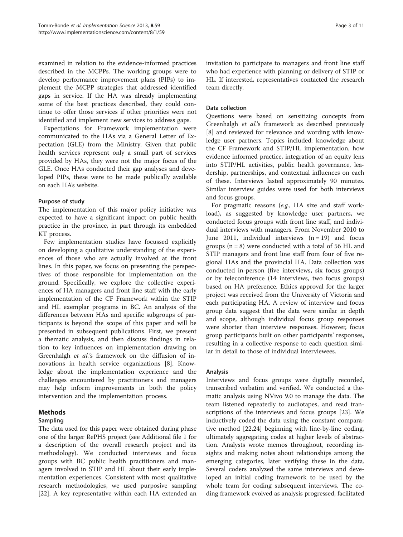examined in relation to the evidence-informed practices described in the MCPPs. The working groups were to develop performance improvement plans (PIPs) to implement the MCPP strategies that addressed identified gaps in service. If the HA was already implementing some of the best practices described, they could continue to offer those services if other priorities were not identified and implement new services to address gaps.

Expectations for Framework implementation were communicated to the HAs via a General Letter of Expectation (GLE) from the Ministry. Given that public health services represent only a small part of services provided by HAs, they were not the major focus of the GLE. Once HAs conducted their gap analyses and developed PIPs, these were to be made publically available on each HA's website.

### Purpose of study

The implementation of this major policy initiative was expected to have a significant impact on public health practice in the province, in part through its embedded KT process.

Few implementation studies have focussed explicitly on developing a qualitative understanding of the experiences of those who are actually involved at the front lines. In this paper, we focus on presenting the perspectives of those responsible for implementation on the ground. Specifically, we explore the collective experiences of HA managers and front line staff with the early implementation of the CF Framework within the STIP and HL exemplar programs in BC. An analysis of the differences between HAs and specific subgroups of participants is beyond the scope of this paper and will be presented in subsequent publications. First, we present a thematic analysis, and then discuss findings in relation to key influences on implementation drawing on Greenhalgh et al.'s framework on the diffusion of innovations in health service organizations [[8](#page-9-0)]. Knowledge about the implementation experience and the challenges encountered by practitioners and managers may help inform improvements in both the policy intervention and the implementation process.

# Methods

# Sampling

The data used for this paper were obtained during phase one of the larger RePHS project (see Additional file [1](#page-9-0) for a description of the overall research project and its methodology). We conducted interviews and focus groups with BC public health practitioners and managers involved in STIP and HL about their early implementation experiences. Consistent with most qualitative research methodologies, we used purposive sampling [[22\]](#page-10-0). A key representative within each HA extended an invitation to participate to managers and front line staff who had experience with planning or delivery of STIP or HL. If interested, representatives contacted the research team directly.

## Data collection

Questions were based on sensitizing concepts from Greenhalgh et al.'s framework as described previously [[8\]](#page-9-0) and reviewed for relevance and wording with knowledge user partners. Topics included: knowledge about the CF Framework and STIP/HL implementation, how evidence informed practice, integration of an equity lens into STIP/HL activities, public health governance, leadership, partnerships, and contextual influences on each of these. Interviews lasted approximately 90 minutes. Similar interview guides were used for both interviews and focus groups.

For pragmatic reasons (e.g., HA size and staff workload), as suggested by knowledge user partners, we conducted focus groups with front line staff, and individual interviews with managers. From November 2010 to June 2011, individual interviews  $(n = 19)$  and focus groups  $(n = 8)$  were conducted with a total of 56 HL and STIP managers and front line staff from four of five regional HAs and the provincial HA. Data collection was conducted in-person (five interviews, six focus groups) or by teleconference (14 interviews, two focus groups) based on HA preference. Ethics approval for the larger project was received from the University of Victoria and each participating HA. A review of interview and focus group data suggest that the data were similar in depth and scope, although individual focus group responses were shorter than interview responses. However, focus group participants built on other participants' responses, resulting in a collective response to each question similar in detail to those of individual interviewees.

# Analysis

Interviews and focus groups were digitally recorded, transcribed verbatim and verified. We conducted a thematic analysis using NVivo 9.0 to manage the data. The team listened repeatedly to audiotapes, and read transcriptions of the interviews and focus groups [[23\]](#page-10-0). We inductively coded the data using the constant comparative method [\[22,24](#page-10-0)] beginning with line-by-line coding, ultimately aggregating codes at higher levels of abstraction. Analysts wrote memos throughout, recording insights and making notes about relationships among the emerging categories, later verifying these in the data. Several coders analyzed the same interviews and developed an initial coding framework to be used by the whole team for coding subsequent interviews. The coding framework evolved as analysis progressed, facilitated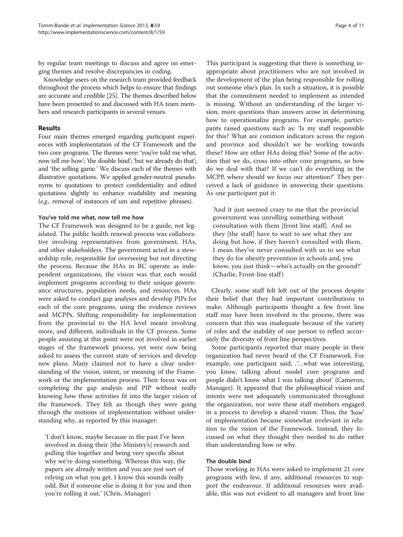by regular team meetings to discuss and agree on emerging themes and resolve discrepancies in coding.

Knowledge users on the research team provided feedback throughout the process which helps to ensure that findings are accurate and credible [[25](#page-10-0)]. The themes described below have been presented to and discussed with HA team members and research participants in several venues.

### Results

Four main themes emerged regarding participant experiences with implementation of the CF Framework and the two core programs. The themes were: 'you've told me what, now tell me how'; 'the double bind'; 'but we already do that'; and 'the selling game.' We discuss each of the themes with illustrative quotations. We applied gender-neutral pseudonyms to quotations to protect confidentiality and edited quotations slightly to enhance readability and meaning (e.g., removal of instances of um and repetitive phrases).

#### You've told me what, now tell me how

The CF Framework was designed to be a guide, not legislated. The public health renewal process was collaborative involving representatives from government, HAs, and other stakeholders. The government acted in a stewardship role, responsible for overseeing but not directing the process. Because the HAs in BC operate as independent organizations, the vision was that each would implement programs according to their unique governance structures, population needs, and resources. HAs were asked to conduct gap analyses and develop PIPs for each of the core programs, using the evidence reviews and MCPPs. Shifting responsibility for implementation from the provincial to the HA level meant involving more, and different, individuals in the CF process. Some people assisting at this point were not involved in earlier stages of the framework process, yet were now being asked to assess the current state of services and develop new plans. Many claimed not to have a clear understanding of the vision, intent, or meaning of the Framework or the implementation process. Their focus was on completing the gap analysis and PIP without really knowing how these activities fit into the larger vision of the framework. They felt as though they were going through the motions of implementation without understanding why, as reported by this manager:

'I don't know, maybe because in the past I've been involved in doing their [the Ministry's] research and pulling this together and being very specific about why we're doing something. Whereas this way, the papers are already written and you are just sort of relying on what you get. I know this sounds really odd. But if someone else is doing it for you and then you're rolling it out.' (Chris, Manager)

This participant is suggesting that there is something inappropriate about practitioners who are not involved in the development of the plan being responsible for rolling out someone else's plan. In such a situation, it is possible that the commitment needed to implement as intended is missing. Without an understanding of the larger vision, more questions than answers arose in determining how to operationalize programs. For example, participants raised questions such as: 'Is my staff responsible for this? What are common indicators across the region and province and shouldn't we be working towards these? How are other HAs doing this? Some of the activities that we do, cross into other core programs, so how do we deal with that? If we can't do everything in the MCPP, where should we focus our attention?' They perceived a lack of guidance in answering their questions. As one participant put it:

'And it just seemed crazy to me that the provincial government was unrolling something without consultation with them [front line staff]. And so they [the staff] have to wait to see what they are doing but how, if they haven't consulted with them. I mean they've never consulted with us to see what they do for obesity prevention in schools and, you know, you just think—who's actually on the ground?' (Charlie, Front-line staff )

Clearly, some staff felt left out of the process despite their belief that they had important contributions to make. Although participants thought a few front line staff may have been involved in the process, there was concern that this was inadequate because of the variety of roles and the inability of one person to reflect accurately the diversity of front line perspectives.

Some participants reported that many people in their organization had never heard of the CF Framework. For example, one participant said, .'…what was interesting, you know, talking about model core programs and people didn't know what I was talking about' (Cameron, Manager). It appeared that the philosophical vision and intents were not adequately communicated throughout the organization, nor were these staff members engaged in a process to develop a shared vision. Thus, the 'how' of implementation became somewhat irrelevant in relation to the vision of the Framework. Instead, they focussed on what they thought they needed to do rather than understanding how or why.

#### The double bind

Those working in HAs were asked to implement 21 core programs with few, if any, additional resources to support the endeavour. If additional resources were available, this was not evident to all managers and front line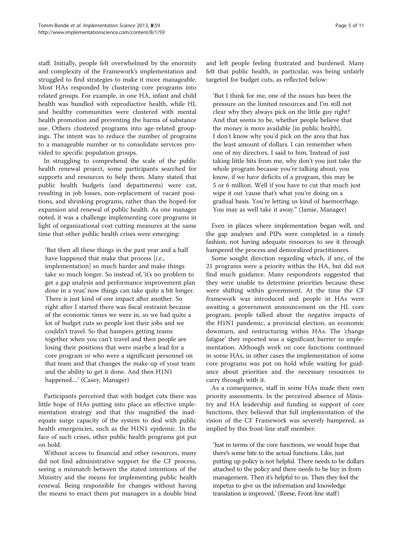staff. Initially, people felt overwhelmed by the enormity and complexity of the Framework's implementation and struggled to find strategies to make it more manageable. Most HAs responded by clustering core programs into related groups. For example, in one HA, infant and child health was bundled with reproductive health, while HL and healthy communities were clustered with mental health promotion and preventing the harms of substance use. Others clustered programs into age-related groupings. The intent was to reduce the number of programs to a manageable number or to consolidate services provided to specific population groups.

In struggling to comprehend the scale of the public health renewal project, some participants searched for supports and resources to help them. Many stated that public health budgets (and departments) were cut, resulting in job losses, non-replacement of vacant positions, and shrinking programs, rather than the hoped-for expansion and renewal of public health. As one manager noted, it was a challenge implementing core programs in light of organizational cost cutting measures at the same time that other public health crises were emerging:

'But then all these things in the past year and a half have happened that make that process  $[i.e.,$ implementation] so much harder and make things take so much longer. So instead of, 'it's no problem to get a gap analysis and performance improvement plan done in a year,' now things can take quite a bit longer. There is just kind of one impact after another. So right after I started there was fiscal restraint because of the economic times we were in, so we had quite a lot of budget cuts so people lost their jobs and we couldn't travel. So that hampers getting teams together when you can't travel and then people are losing their positions that were maybe a lead for a core program or who were a significant personnel on that team and that changes the make-up of your team and the ability to get it done. And then H1N1 happened....' (Casey, Manager)

Participants perceived that with budget cuts there was little hope of HAs putting into place an effective implementation strategy and that this magnified the inadequate surge capacity of the system to deal with public health emergencies, such as the H1N1 epidemic. In the face of such crises, other public health programs got put on hold.

Without access to financial and other resources, many did not find administrative support for the CF process, seeing a mismatch between the stated intentions of the Ministry and the means for implementing public health renewal. Being responsible for changes without having the means to enact them put managers in a double bind and left people feeling frustrated and burdened. Many felt that public health, in particular, was being unfairly targeted for budget cuts, as reflected below:

'But I think for me, one of the issues has been the pressure on the limited resources and I'm still not clear why they always pick on the little guy right? And that seems to be, whether people believe that the money is more available [in public health], I don't know why you'd pick on the area that has the least amount of dollars. I can remember when one of my directors, I said to him, 'Instead of just taking little bits from me, why don't you just take the whole program because you're talking about, you know, if we have deficits of a program, this may be 5 or 6 million. Well if you have to cut that much just wipe it out 'cause that's what you're doing on a gradual basis. You're letting us kind of haemorrhage. You may as well take it away." (Jamie, Manager)

Even in places where implementation began well, and the gap analyses and PIPs were completed in a timely fashion, not having adequate resources to see it through hampered the process and demoralized practitioners.

Some sought direction regarding which, if any, of the 21 programs were a priority within the HA, but did not find much guidance. Many respondents suggested that they were unable to determine priorities because these were shifting within government. At the time the CF framework was introduced and people in HAs were awaiting a government announcement on the HL core program, people talked about the negative impacts of the H1N1 pandemic, a provincial election, an economic downturn, and restructuring within HAs. The 'change fatigue' they reported was a significant barrier to implementation. Although work on core functions continued in some HAs, in other cases the implementation of some core programs was put on hold while waiting for guidance about priorities and the necessary resources to carry through with it.

As a consequence, staff in some HAs made their own priority assessments. In the perceived absence of Ministry and HA leadership and funding in support of core functions, they believed that full implementation of the vision of the CF Framework was severely hampered, as implied by this front-line staff member:

'Just in terms of the core functions, we would hope that there's some bite to the actual functions. Like, just putting up policy is not helpful. There needs to be dollars attached to the policy and there needs to be buy in from management. Then it's helpful to us. Then they feel the impetus to give us the information and knowledge translation is improved.' (Reese, Front-line staff)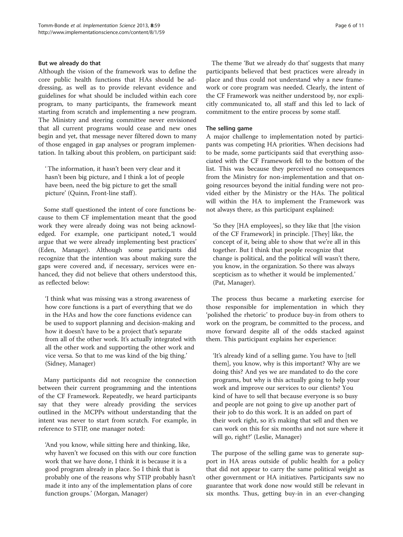#### But we already do that

Although the vision of the framework was to define the core public health functions that HAs should be addressing, as well as to provide relevant evidence and guidelines for what should be included within each core program, to many participants, the framework meant starting from scratch and implementing a new program. The Ministry and steering committee never envisioned that all current programs would cease and new ones begin and yet, that message never filtered down to many of those engaged in gap analyses or program implementation. In talking about this problem, on participant said:

' The information, it hasn't been very clear and it hasn't been big picture, and I think a lot of people have been, need the big picture to get the small picture' (Quinn, Front-line staff).

Some staff questioned the intent of core functions because to them CF implementation meant that the good work they were already doing was not being acknowledged. For example, one participant noted,.'I would argue that we were already implementing best practices' (Eden, Manager). Although some participants did recognize that the intention was about making sure the gaps were covered and, if necessary, services were enhanced, they did not believe that others understood this, as reflected below:

'I think what was missing was a strong awareness of how core functions is a part of everything that we do in the HAs and how the core functions evidence can be used to support planning and decision-making and how it doesn't have to be a project that's separate from all of the other work. It's actually integrated with all the other work and supporting the other work and vice versa. So that to me was kind of the big thing.' (Sidney, Manager)

Many participants did not recognize the connection between their current programming and the intentions of the CF Framework. Repeatedly, we heard participants say that they were already providing the services outlined in the MCPPs without understanding that the intent was never to start from scratch. For example, in reference to STIP, one manager noted:

'And you know, while sitting here and thinking, like, why haven't we focused on this with our core function work that we have done, I think it is because it is a good program already in place. So I think that is probably one of the reasons why STIP probably hasn't made it into any of the implementation plans of core function groups.' (Morgan, Manager)

The theme 'But we already do that' suggests that many participants believed that best practices were already in place and thus could not understand why a new framework or core program was needed. Clearly, the intent of the CF Framework was neither understood by, nor explicitly communicated to, all staff and this led to lack of commitment to the entire process by some staff.

#### The selling game

A major challenge to implementation noted by participants was competing HA priorities. When decisions had to be made, some participants said that everything associated with the CF Framework fell to the bottom of the list. This was because they perceived no consequences from the Ministry for non-implementation and that ongoing resources beyond the initial funding were not provided either by the Ministry or the HAs. The political will within the HA to implement the Framework was not always there, as this participant explained:

'So they [HA employees], so they like that [the vision of the CF Framework] in principle. [They] like, the concept of it, being able to show that we're all in this together. But I think that people recognize that change is political, and the political will wasn't there, you know, in the organization. So there was always scepticism as to whether it would be implemented.' (Pat, Manager).

The process thus became a marketing exercise for those responsible for implementation in which they 'polished the rhetoric' to produce buy-in from others to work on the program, be committed to the process, and move forward despite all of the odds stacked against them. This participant explains her experience:

'It's already kind of a selling game. You have to [tell them], you know, why is this important? Why are we doing this? And yes we are mandated to do the core programs, but why is this actually going to help your work and improve our services to our clients? You kind of have to sell that because everyone is so busy and people are not going to give up another part of their job to do this work. It is an added on part of their work right, so it's making that sell and then we can work on this for six months and not sure where it will go, right?' (Leslie, Manager)

The purpose of the selling game was to generate support in HA areas outside of public health for a policy that did not appear to carry the same political weight as other government or HA initiatives. Participants saw no guarantee that work done now would still be relevant in six months. Thus, getting buy-in in an ever-changing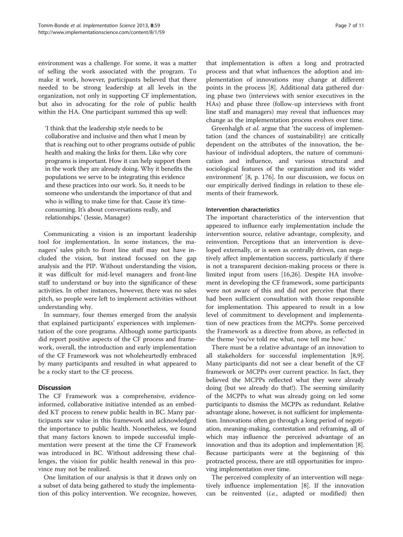environment was a challenge. For some, it was a matter of selling the work associated with the program. To make it work, however, participants believed that there needed to be strong leadership at all levels in the organization, not only in supporting CF implementation, but also in advocating for the role of public health within the HA. One participant summed this up well:

'I think that the leadership style needs to be collaborative and inclusive and then what I mean by that is reaching out to other programs outside of public health and making the links for them. Like why core programs is important. How it can help support them in the work they are already doing. Why it benefits the populations we serve to be integrating this evidence and these practices into our work. So, it needs to be someone who understands the importance of that and who is willing to make time for that. Cause it's timeconsuming. It's about conversations really, and relationships.' (Jessie, Manager)

Communicating a vision is an important leadership tool for implementation. In some instances, the managers' sales pitch to front line staff may not have included the vision, but instead focused on the gap analysis and the PIP. Without understanding the vision, it was difficult for mid-level managers and front-line staff to understand or buy into the significance of these activities. In other instances, however, there was no sales pitch, so people were left to implement activities without understanding why.

In summary, four themes emerged from the analysis that explained participants' experiences with implementation of the core programs. Although some participants did report positive aspects of the CF process and framework, overall, the introduction and early implementation of the CF Framework was not wholeheartedly embraced by many participants and resulted in what appeared to be a rocky start to the CF process.

### **Discussion**

The CF Framework was a comprehensive, evidenceinformed, collaborative initiative intended as an embedded KT process to renew public health in BC. Many participants saw value in this framework and acknowledged the importance to public health. Nonetheless, we found that many factors known to impede successful implementation were present at the time the CF Framework was introduced in BC. Without addressing these challenges, the vision for public health renewal in this province may not be realized.

One limitation of our analysis is that it draws only on a subset of data being gathered to study the implementation of this policy intervention. We recognize, however,

that implementation is often a long and protracted process and that what influences the adoption and implementation of innovations may change at different points in the process [[8\]](#page-9-0). Additional data gathered during phase two (interviews with senior executives in the HAs) and phase three (follow-up interviews with front line staff and managers) may reveal that influences may change as the implementation process evolves over time.

Greenhalgh et al. argue that 'the success of implementation (and the chances of sustainability) are critically dependent on the attributes of the innovation, the behaviour of individual adopters, the nature of communication and influence, and various structural and sociological features of the organization and its wider environment' [8, p. 176]. In our discussion, we focus on our empirically derived findings in relation to these elements of their framework.

#### Intervention characteristics

The important characteristics of the intervention that appeared to influence early implementation include the intervention source, relative advantage, complexity, and reinvention. Perceptions that an intervention is developed externally, or is seen as centrally driven, can negatively affect implementation success, particularly if there is not a transparent decision-making process or there is limited input from users [[16](#page-10-0),[26](#page-10-0)]. Despite HA involvement in developing the CF framework, some participants were not aware of this and did not perceive that there had been sufficient consultation with those responsible for implementation. This appeared to result in a low level of commitment to development and implementation of new practices from the MCPPs. Some perceived the Framework as a directive from above, as reflected in the theme 'you've told me what, now tell me how.'

There must be a relative advantage of an innovation to all stakeholders for successful implementation [\[8,9](#page-9-0)]. Many participants did not see a clear benefit of the CF framework or MCPPs over current practice. In fact, they believed the MCPPs reflected what they were already doing (but we already do that!). The seeming similarity of the MCPPs to what was already going on led some participants to dismiss the MCPPs as redundant. Relative advantage alone, however, is not sufficient for implementation. Innovations often go through a long period of negotiation, meaning-making, contestation and reframing, all of which may influence the perceived advantage of an innovation and thus its adoption and implementation [[8](#page-9-0)]. Because participants were at the beginning of this protracted process, there are still opportunities for improving implementation over time.

The perceived complexity of an intervention will negatively influence implementation [[8](#page-9-0)]. If the innovation can be reinvented  $(i.e.,$  adapted or modified) then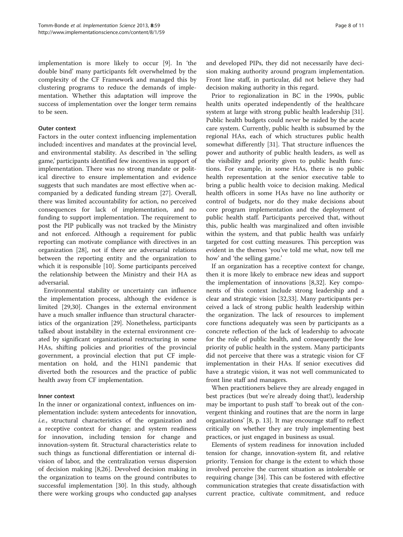implementation is more likely to occur [[9\]](#page-9-0). In 'the double bind' many participants felt overwhelmed by the complexity of the CF Framework and managed this by clustering programs to reduce the demands of implementation. Whether this adaptation will improve the success of implementation over the longer term remains to be seen.

#### Outer context

Factors in the outer context influencing implementation included: incentives and mandates at the provincial level, and environmental stability. As described in 'the selling game,' participants identified few incentives in support of implementation. There was no strong mandate or political directive to ensure implementation and evidence suggests that such mandates are most effective when accompanied by a dedicated funding stream [[27\]](#page-10-0). Overall, there was limited accountability for action, no perceived consequences for lack of implementation, and no funding to support implementation. The requirement to post the PIP publically was not tracked by the Ministry and not enforced. Although a requirement for public reporting can motivate compliance with directives in an organization [[28](#page-10-0)], not if there are adversarial relations between the reporting entity and the organization to which it is responsible [[10\]](#page-9-0). Some participants perceived the relationship between the Ministry and their HA as adversarial.

Environmental stability or uncertainty can influence the implementation process, although the evidence is limited [\[29,30\]](#page-10-0). Changes in the external environment have a much smaller influence than structural characteristics of the organization [\[29](#page-10-0)]. Nonetheless, participants talked about instability in the external environment created by significant organizational restructuring in some HAs, shifting policies and priorities of the provincial government, a provincial election that put CF implementation on hold, and the H1N1 pandemic that diverted both the resources and the practice of public health away from CF implementation.

#### Inner context

In the inner or organizational context, influences on implementation include: system antecedents for innovation, i.e., structural characteristics of the organization and a receptive context for change; and system readiness for innovation, including tension for change and innovation-system fit. Structural characteristics relate to such things as functional differentiation or internal division of labor, and the centralization versus dispersion of decision making [\[8](#page-9-0)[,26](#page-10-0)]. Devolved decision making in the organization to teams on the ground contributes to successful implementation [\[30\]](#page-10-0). In this study, although there were working groups who conducted gap analyses and developed PIPs, they did not necessarily have decision making authority around program implementation. Front line staff, in particular, did not believe they had decision making authority in this regard.

Prior to regionalization in BC in the 1990s, public health units operated independently of the healthcare system at large with strong public health leadership [\[31](#page-10-0)]. Public health budgets could never be raided by the acute care system. Currently, public health is subsumed by the regional HAs, each of which structures public health somewhat differently [\[31\]](#page-10-0). That structure influences the power and authority of public health leaders, as well as the visibility and priority given to public health functions. For example, in some HAs, there is no public health representation at the senior executive table to bring a public health voice to decision making. Medical health officers in some HAs have no line authority or control of budgets, nor do they make decisions about core program implementation and the deployment of public health staff. Participants perceived that, without this, public health was marginalized and often invisible within the system, and that public health was unfairly targeted for cost cutting measures. This perception was evident in the themes 'you've told me what, now tell me how' and 'the selling game.'

If an organization has a receptive context for change, then it is more likely to embrace new ideas and support the implementation of innovations [[8,](#page-9-0)[32\]](#page-10-0). Key components of this context include strong leadership and a clear and strategic vision [[32](#page-10-0),[33\]](#page-10-0). Many participants perceived a lack of strong public health leadership within the organization. The lack of resources to implement core functions adequately was seen by participants as a concrete reflection of the lack of leadership to advocate for the role of public health, and consequently the low priority of public health in the system. Many participants did not perceive that there was a strategic vision for CF implementation in their HAs. If senior executives did have a strategic vision, it was not well communicated to front line staff and managers.

When practitioners believe they are already engaged in best practices (but we're already doing that!), leadership may be important to push staff 'to break out of the convergent thinking and routines that are the norm in large organizations' [8, p. 13]. It may encourage staff to reflect critically on whether they are truly implementing best practices, or just engaged in business as usual.

Elements of system readiness for innovation included tension for change, innovation-system fit, and relative priority. Tension for change is the extent to which those involved perceive the current situation as intolerable or requiring change [[34\]](#page-10-0). This can be fostered with effective communication strategies that create dissatisfaction with current practice, cultivate commitment, and reduce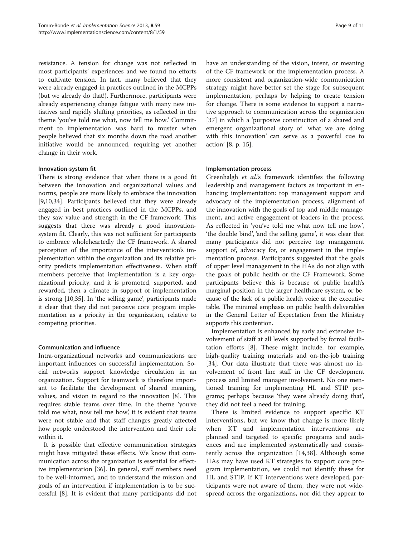resistance. A tension for change was not reflected in most participants' experiences and we found no efforts to cultivate tension. In fact, many believed that they were already engaged in practices outlined in the MCPPs (but we already do that!). Furthermore, participants were already experiencing change fatigue with many new initiatives and rapidly shifting priorities, as reflected in the theme 'you've told me what, now tell me how.' Commitment to implementation was hard to muster when people believed that six months down the road another initiative would be announced, requiring yet another change in their work.

#### Innovation-system fit

There is strong evidence that when there is a good fit between the innovation and organizational values and norms, people are more likely to embrace the innovation [[9,10,](#page-9-0)[34\]](#page-10-0). Participants believed that they were already engaged in best practices outlined in the MCPPs, and they saw value and strength in the CF framework. This suggests that there was already a good innovationsystem fit. Clearly, this was not sufficient for participants to embrace wholeheartedly the CF framework. A shared perception of the importance of the intervention's implementation within the organization and its relative priority predicts implementation effectiveness. When staff members perceive that implementation is a key organizational priority, and it is promoted, supported, and rewarded, then a climate in support of implementation is strong [[10](#page-9-0),[35](#page-10-0)]. In 'the selling game', participants made it clear that they did not perceive core program implementation as a priority in the organization, relative to competing priorities.

### Communication and influence

Intra-organizational networks and communications are important influences on successful implementation. Social networks support knowledge circulation in an organization. Support for teamwork is therefore important to facilitate the development of shared meaning, values, and vision in regard to the innovation [\[8\]](#page-9-0). This requires stable teams over time. In the theme 'you've told me what, now tell me how,' it is evident that teams were not stable and that staff changes greatly affected how people understood the intervention and their role within it.

It is possible that effective communication strategies might have mitigated these effects. We know that communication across the organization is essential for effective implementation [\[36\]](#page-10-0). In general, staff members need to be well-informed, and to understand the mission and goals of an intervention if implementation is to be successful [\[8](#page-9-0)]. It is evident that many participants did not have an understanding of the vision, intent, or meaning of the CF framework or the implementation process. A more consistent and organization-wide communication strategy might have better set the stage for subsequent implementation, perhaps by helping to create tension for change. There is some evidence to support a narrative approach to communication across the organization [[37\]](#page-10-0) in which a 'purposive construction of a shared and emergent organizational story of 'what we are doing with this innovation' can serve as a powerful cue to action' [8, p. 15].

#### Implementation process

Greenhalgh et al.'s framework identifies the following leadership and management factors as important in enhancing implementation: top management support and advocacy of the implementation process, alignment of the innovation with the goals of top and middle management, and active engagement of leaders in the process. As reflected in 'you've told me what now tell me how', 'the double bind', 'and the selling game', it was clear that many participants did not perceive top management support of, advocacy for, or engagement in the implementation process. Participants suggested that the goals of upper level management in the HAs do not align with the goals of public health or the CF Framework. Some participants believe this is because of public health's marginal position in the larger healthcare system, or because of the lack of a public health voice at the executive table. The minimal emphasis on public health deliverables in the General Letter of Expectation from the Ministry supports this contention.

Implementation is enhanced by early and extensive involvement of staff at all levels supported by formal facilitation efforts [[8\]](#page-9-0). These might include, for example, high-quality training materials and on-the-job training [[34\]](#page-10-0). Our data illustrate that there was almost no involvement of front line staff in the CF development process and limited manager involvement. No one mentioned training for implementing HL and STIP programs; perhaps because 'they were already doing that', they did not feel a need for training.

There is limited evidence to support specific KT interventions, but we know that change is more likely when KT and implementation interventions are planned and targeted to specific programs and audiences and are implemented systematically and consistently across the organization [[14,38](#page-10-0)]. Although some HAs may have used KT strategies to support core program implementation, we could not identify these for HL and STIP. If KT interventions were developed, participants were not aware of them, they were not widespread across the organizations, nor did they appear to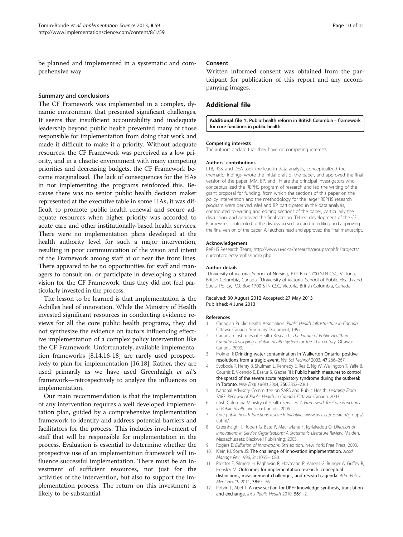<span id="page-9-0"></span>be planned and implemented in a systematic and comprehensive way.

#### Summary and conclusions

The CF Framework was implemented in a complex, dynamic environment that presented significant challenges. It seems that insufficient accountability and inadequate leadership beyond public health prevented many of those responsible for implementation from doing that work and made it difficult to make it a priority. Without adequate resources, the CF Framework was perceived as a low priority, and in a chaotic environment with many competing priorities and decreasing budgets, the CF Framework became marginalized. The lack of consequences for the HAs in not implementing the programs reinforced this. Because there was no senior public health decision maker represented at the executive table in some HAs, it was difficult to promote public health renewal and secure adequate resources when higher priority was accorded to acute care and other institutionally-based health services. There were no implementation plans developed at the health authority level for such a major intervention, resulting in poor communication of the vision and intent of the Framework among staff at or near the front lines. There appeared to be no opportunities for staff and managers to consult on, or participate in developing a shared vision for the CF Framework, thus they did not feel particularly invested in the process.

The lesson to be learned is that implementation is the Achilles heel of innovation. While the Ministry of Health invested significant resources in conducting evidence reviews for all the core public health programs, they did not synthesize the evidence on factors influencing effective implementation of a complex policy intervention like the CF Framework. Unfortunately, available implementation frameworks [8,[14](#page-10-0),[16](#page-10-0)-[18\]](#page-10-0) are rarely used prospectively to plan for implementation [[16,18\]](#page-10-0). Rather, they are used primarily as we have used Greenhalgh et al.'s framework—retrospectively to analyze the influences on implementation.

Our main recommendation is that the implementation of any intervention requires a well developed implementation plan, guided by a comprehensive implementation framework to identify and address potential barriers and facilitators for the process. This includes involvement of staff that will be responsible for implementation in the process. Evaluation is essential to determine whether the prospective use of an implementation framework will influence successful implementation. There must be an investment of sufficient resources, not just for the activities of the intervention, but also to support the implementation process. The return on this investment is likely to be substantial.

#### Consent

Written informed consent was obtained from the participant for publication of this report and any accompanying images.

#### Additional file

[Additional file 1:](http://www.biomedcentral.com/content/supplementary/1748-5908-8-59-S1.doc) Public health reform in British Columbia – framework for core functions in public health.

#### Competing interests

The authors declare that they have no competing interests.

#### Authors' contributions

LTB, RSS, and DEA took the lead in data analysis, conceptualized the thematic findings, wrote the initial draft of the paper, and approved the final version of the paper. MM, BP, and TH are the principal investigators who conceptualized the REPHS program of research and led the writing of the grant proposal for funding, from which the sections of this paper on the policy intervention and the methodology for the larger REPHS research program were derived. MM and BP participated in the data analysis, contributed to writing and editing sections of the paper, particularly the discussion, and approved the final version. TH led development of the CF Framework, contributed to the discussion section, and to editing and approving the final version of the paper. All authors read and approved the final manuscript.

#### Acknowledgement

RePHS Research Team; [http://www.uvic.ca/research/groups/cphfri/projects/](http://www.uvic.ca/research/groups/cphfri/projects/currentprojects/rephs/index.php) [currentprojects/rephs/index.php](http://www.uvic.ca/research/groups/cphfri/projects/currentprojects/rephs/index.php).

#### Author details

<sup>1</sup>University of Victoria, School of Nursing, P.O. Box 1700 STN CSC, Victoria British Columbia, Canada. <sup>2</sup>University of Victoria, School of Public Health and Social Policy, P.O. Box 1700 STN CSC, Victoria, British Columbia, Canada.

#### Received: 30 August 2012 Accepted: 27 May 2013 Published: 4 June 2013

#### References

- 1. Canadian Public Health Association: Public Health Infrastructure in Canada. Ottawa: Canada: Summary Document; 1997.
- 2. Canadian Institutes of Health Research: The Future of Public Health in Canada: Developing a Public Health System for the 21st century. Ottawa: Canada; 2003.
- 3. Holme R: Drinking water contamination in Walkerton Ontario: positive resolutions from a tragic event. Wa Sci Technol 2003, 47:266–267.
- 4. Svoboda T, Henry B, Shulman L, Kennedy E, Rea E, Ng W, Wallington T, Yaffe B, Gournis E, Vicencio E, Basrur S, Glazier RH: Public health measures to control the spread of the severe acute respiratory syndrome during the outbreak in Toronto. New Engl J Med 2004, 350:2352–2361.
- 5. National Advisory Committee on SARS and Public Health: Learning From SARS: Renewal of Public Health in Canada. Ottawa: Canada; 2003.
- 6. ritish Columbia Ministry of Health Services: A Framework for Core Functions in Public Health. Victoria: Canada; 2005.
- 7. Core public health functions research initiative. [www.uvic.ca/research/groups/](http://www.uvic.ca/research/groups/cphfri/) [cphfri/](http://www.uvic.ca/research/groups/cphfri/).
- 8. Greenhalgh T, Robert G, Bate P, MacFarlane F, Kyriakadou O: Diffusion of Innovations in Service Organizations: A Systematic Literature Review. Malden, Massachussets: Blackwell Publishing; 2005.
- 9. Rogers E: Diffusion of Innovations. 5th edition. New York: Free Press; 2003.
- 10. Klein KJ, Sorra JS: The challenge of innovation implementation. Acad Manage Rev 1996, 21:1055–1080.
- 11. Proctor E, Silmere H, Raghavan R, Hovmand P, Aarons G, Bunger A, Griffey R, Hensley M: Outcomes for implementation research: conceptual distinctions, measurement challenges, and research agenda. Adm Policy Ment Health 2011, 38:65–76.
- 12. Potvin L, Abel T: A new section for IJPH: knowledge synthesis, translation and exchange. Int J Public Health 2010, 56:1-2.